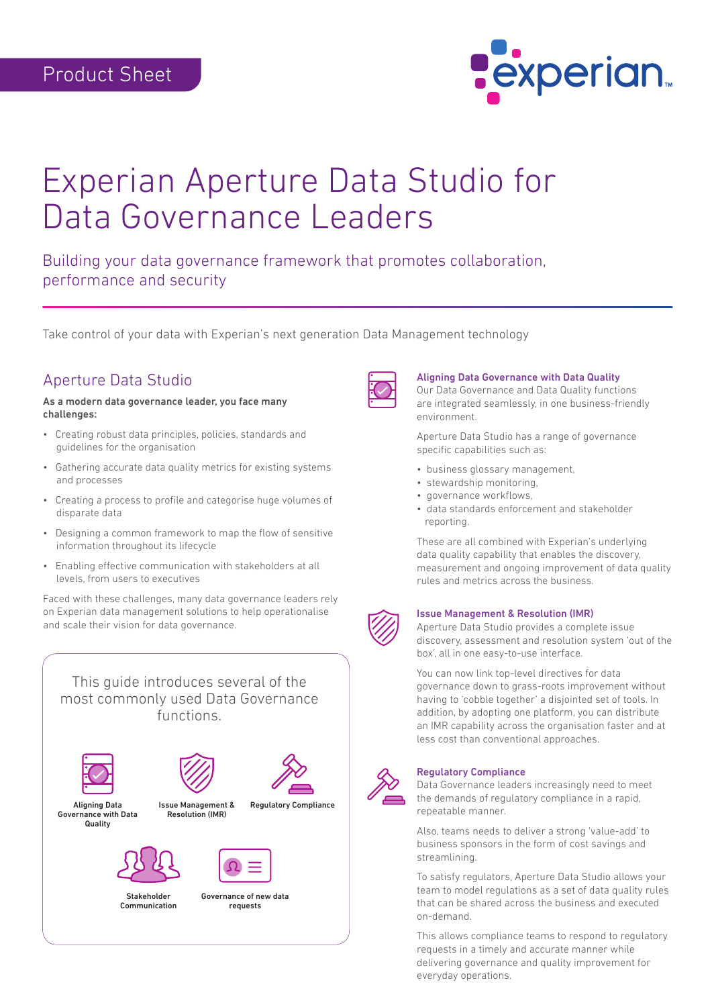

# Experian Aperture Data Studio for Data Governance Leaders

Building your data governance framework that promotes collaboration, performance and security

Take control of your data with Experian's next generation Data Management technology

# Aperture Data Studio

As a modern data governance leader, you face many challenges:

- Creating robust data principles, policies, standards and guidelines for the organisation
- Gathering accurate data quality metrics for existing systems and processes
- Creating a process to profile and categorise huge volumes of disparate data
- Designing a common framework to map the flow of sensitive information throughout its lifecycle
- Enabling effective communication with stakeholders at all levels, from users to executives

Faced with these challenges, many data governance leaders rely on Experian data management solutions to help operationalise and scale their vision for data governance.

This guide introduces several of the most commonly used Data Governance functions.



Stakeholder Communication

Governance of new data requests



#### Aligning Data Governance with Data Quality

Our Data Governance and Data Quality functions are integrated seamlessly, in one business-friendly environment.

Aperture Data Studio has a range of governance specific capabilities such as:

- business glossary management,
- stewardship monitoring,
- governance workflows,
- data standards enforcement and stakeholder reporting.

These are all combined with Experian's underlying data quality capability that enables the discovery, measurement and ongoing improvement of data quality rules and metrics across the business.



## Issue Management & Resolution (IMR)

Aperture Data Studio provides a complete issue discovery, assessment and resolution system 'out of the box', all in one easy-to-use interface.

You can now link top-level directives for data governance down to grass-roots improvement without having to 'cobble together' a disjointed set of tools. In addition, by adopting one platform, you can distribute an IMR capability across the organisation faster and at less cost than conventional approaches.



#### Regulatory Compliance

Data Governance leaders increasingly need to meet the demands of regulatory compliance in a rapid, repeatable manner.

Also, teams needs to deliver a strong 'value-add' to business sponsors in the form of cost savings and streamlining.

To satisfy regulators, Aperture Data Studio allows your team to model regulations as a set of data quality rules that can be shared across the business and executed on-demand.

This allows compliance teams to respond to regulatory requests in a timely and accurate manner while delivering governance and quality improvement for everyday operations.